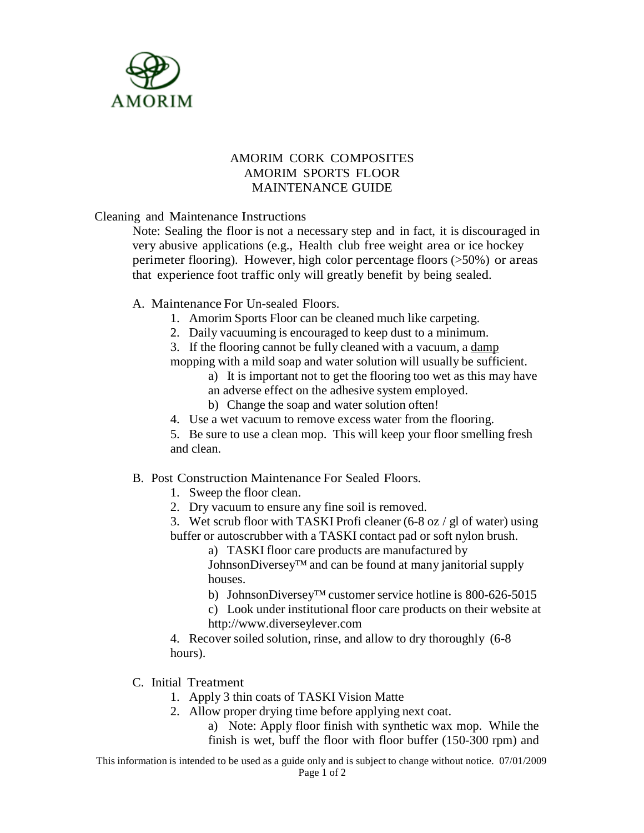

## AMORIM CORK COMPOSITES AMORIM SPORTS FLOOR MAINTENANCE GUIDE

Cleaning and Maintenance Instructions

Note: Sealing the floor is not a necessary step and in fact, it is discouraged in very abusive applications (e.g., Health club free weight area or ice hockey perimeter flooring). However, high color percentage floors (>50%) or areas that experience foot traffic only will greatly benefit by being sealed.

A. Maintenance For Un-sealed Floors.

- 1. Amorim Sports Floor can be cleaned much like carpeting.
- 2. Daily vacuuming is encouraged to keep dust to a minimum.
- 3. If the flooring cannot be fully cleaned with a vacuum, a damp

mopping with a mild soap and water solution will usually be sufficient.

- a) It is important not to get the flooring too wet as this may have an adverse effect on the adhesive system employed.
- b) Change the soap and water solution often!
- 4. Use a wet vacuum to remove excess water from the flooring.

5. Be sure to use a clean mop. This will keep your floor smelling fresh and clean.

## B. Post Construction Maintenance For Sealed Floors.

- 1. Sweep the floor clean.
- 2. Dry vacuum to ensure any fine soil is removed.
- 3. Wet scrub floor with TASKI Profi cleaner (6-8 oz / gl of water) using buffer or autoscrubber with a TASKI contact pad or soft nylon brush.

a) TASKI floor care products are manufactured by JohnsonDiversey™ and can be found at many janitorial supply houses.

b) JohnsonDiversey™ customer service hotline is 800-626-5015

c) Look under institutional floor care products on their website a[t](http://www.diverseylever.com/) [http://www.diverseylever.com](http://www.diverseylever.com/)

4. Recover soiled solution, rinse, and allow to dry thoroughly (6-8 hours).

C. Initial Treatment

- 1. Apply 3 thin coats of TASKI Vision Matte
- 2. Allow proper drying time before applying next coat.

a) Note: Apply floor finish with synthetic wax mop. While the finish is wet, buff the floor with floor buffer (150-300 rpm) and

This information is intended to be used as a guide only and is subject to change without notice. 07/01/2009 Page 1 of 2